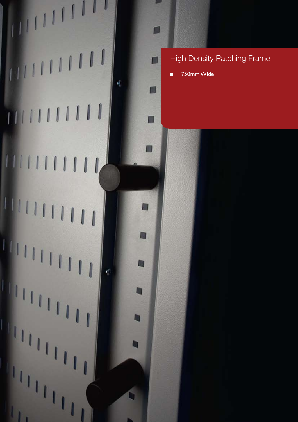

750mm Wide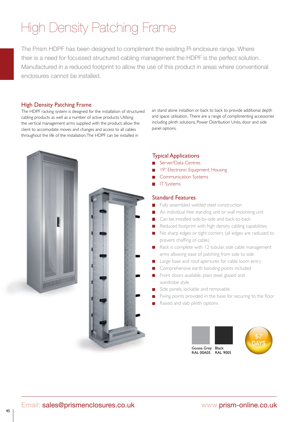The Prism HDPF has been designed to compliment the existing Pi enclosure range. Where their is a need for focussed structured cabling management the HDPF is the perfect solution. Manufactured in a reduced footprint to allow the use of this product in areas where conventional enclosures cannot be installed.

#### High Density Patching Frame

The HDPF racking system is designed for the installation of structured cabling products as well as a number of active products. Utilsing the vertical management arms supplied with the product, allow the client to accomodate moves and changes and access to all cables throughout the life of the installation. The HDPF can be installed in

an stand alone installion or back to back to provide additional depth and space utilisation. There are a range of complimenting accessories including plinth solutions, Power Distribution Units, door and side panel options.



#### Typical Applications

- Server/Data Centres
- 19" Electronic Equipment Housing
- Communication Systems
- IT Systems

#### Standard Features

- Fully assembled welded steel construction
- An individual free standing unit or wall mounting unit
- Can be installed side-by-side and back-to-back  $\Box$
- Reduced footprint with high density cabling capabilities
- No sharp edges or tight corners (all edges are radiused to prevent chaffing of cable)
- Rack is complete with  $12$  tubular, side cable management arms allowing ease of patching from side to side
- Large base and roof apertures for cable loom entry
- Comprehensive earth bonding points included
- Front doors available, plain steel, glazed and wardrobe style
- Side panels, lockable and removable
- Fixing points provided in the base for securing to the floor
- Raised and slab plinth options

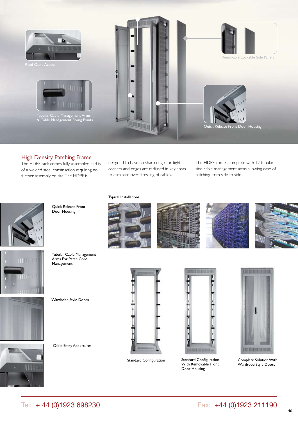

The HDPF rack comes fully assembled and is of a welded steel construction requiring no further assembly on site, The HDPF is

designed to have no sharp edges or tight corners and edges are radiused in key areas to eliminate over stressing of cables.

Typical Installations

The HDPF comes complete with 12 tubular side cable management arms allowing ease of patching from side to side.



Quick Release Front Door Housing



Tubular Cable Management Arms For Patch Cord Management

Wardrobe Style Doors

Cable Entry Appertures





Standard Configuration Standard Configuration With Removable Front Door Housing



Complete Solution With Wardrobe Style Doors